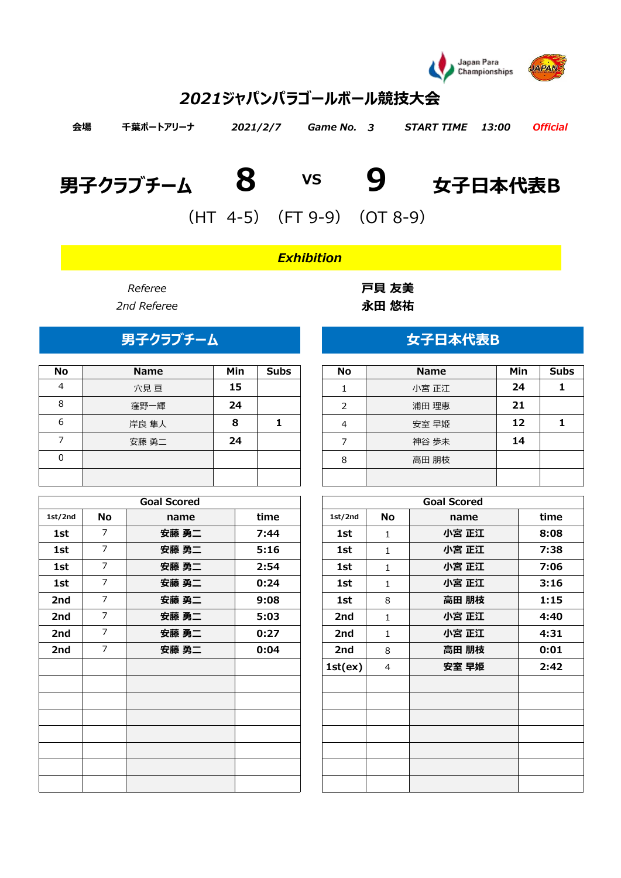

# *2021ジャパンパラゴールボール競技大会*

| 会場 | 千葉ポートアリーナ | 2021/2/7 Game No. 3 | START TIME 13:00 Official |  |
|----|-----------|---------------------|---------------------------|--|
|    |           |                     |                           |  |

| 男子クラブチーム | 女子日本代表B |
|----------|---------|
|----------|---------|





 $(HT 4-5)$   $(FT 9-9)$   $(OT 8-9)$ 

## *Exhibition*

| No | <b>Name</b> | Min | <b>Subs</b> | No | <b>Name</b> | Min | Sul |
|----|-------------|-----|-------------|----|-------------|-----|-----|
| 4  | 穴見亘         | 15  |             |    | 小宮 正江       | 24  |     |
| 8  | 窪野一輝        | 24  |             | ∍  | 浦田 理恵       | 21  |     |
| 6  | 岸良 隼人       | 8   |             | 4  | 安室 早姫       | 12  |     |
|    | 安藤 勇二       | 24  |             |    | 神谷 歩未       | 14  |     |
| 0  |             |     |             | 8  | 高田 朋枝       |     |     |
|    |             |     |             |    |             |     |     |

|         |                | <b>Goal Scored</b> |      |         | <b>Goal Scored</b> |       |      |  |  |  |  |  |  |
|---------|----------------|--------------------|------|---------|--------------------|-------|------|--|--|--|--|--|--|
| 1st/2nd | No             | name               | time | 1st/2nd | No                 | name  | time |  |  |  |  |  |  |
| 1st     | $\overline{7}$ | 安藤 勇二              | 7:44 | 1st     | $\mathbf{1}$       | 小宮 正江 | 8:08 |  |  |  |  |  |  |
| 1st     | $\overline{7}$ | 安藤 勇二              | 5:16 | 1st     | $\mathbf{1}$       | 小宮 正江 | 7:38 |  |  |  |  |  |  |
| 1st     | $\overline{7}$ | 安藤 勇二              | 2:54 | 1st     | $\mathbf{1}$       | 小宮 正江 | 7:06 |  |  |  |  |  |  |
| 1st     | $\overline{7}$ | 安藤 勇二              | 0:24 | 1st     | $\mathbf{1}$       | 小宮 正江 | 3:16 |  |  |  |  |  |  |
| 2nd     | $\overline{7}$ | 安藤 勇二              | 9:08 | 1st     | 8                  | 高田 朋枝 | 1:15 |  |  |  |  |  |  |
| 2nd     | $\overline{7}$ | 安藤 勇二              | 5:03 | 2nd     | $\mathbf{1}$       | 小宮 正江 | 4:40 |  |  |  |  |  |  |
| 2nd     | $\overline{7}$ | 安藤 勇二              | 0:27 | 2nd     | $\mathbf{1}$       | 小宮 正江 | 4:31 |  |  |  |  |  |  |
| 2nd     | $\overline{7}$ | 安藤 勇二              | 0:04 | 2nd     | 8                  | 高田 朋枝 | 0:01 |  |  |  |  |  |  |
|         |                |                    |      | 1st(ex) | 4                  | 安室 早姫 | 2:42 |  |  |  |  |  |  |
|         |                |                    |      |         |                    |       |      |  |  |  |  |  |  |
|         |                |                    |      |         |                    |       |      |  |  |  |  |  |  |
|         |                |                    |      |         |                    |       |      |  |  |  |  |  |  |
|         |                |                    |      |         |                    |       |      |  |  |  |  |  |  |
|         |                |                    |      |         |                    |       |      |  |  |  |  |  |  |
|         |                |                    |      |         |                    |       |      |  |  |  |  |  |  |
|         |                |                    |      |         |                    |       |      |  |  |  |  |  |  |

*Referee* **戸貝 友美** *2nd Referee* **永田 悠祐**

# **男子クラブチーム** スポープ インス ウェイ ウェイ 女子日本代表B

| <b>No</b>     | <b>Name</b> | Min | <b>Subs</b> |
|---------------|-------------|-----|-------------|
|               | 小宮 正江       | 24  |             |
| $\mathcal{P}$ | 浦田 理恵       | 21  |             |
|               | 安室 早姫       | 12  |             |
|               | 神谷 歩未       | 14  |             |
| 8             | 高田 朋枝       |     |             |
|               |             |     |             |

| <b>Goal Scored</b> |      |         |              | <b>Goal Scored</b> |      |
|--------------------|------|---------|--------------|--------------------|------|
| name               | time | 1st/2nd | No           | name               | time |
| 安藤 勇二              | 7:44 | 1st     | 1            | 小宮 正江              | 8:08 |
| 安藤 勇二              | 5:16 | 1st     | $\mathbf{1}$ | 小宮 正江              | 7:38 |
| 安藤 勇二              | 2:54 | 1st     | $\mathbf{1}$ | 小宮 正江              | 7:06 |
| 安藤 勇二              | 0:24 | 1st     | $\mathbf{1}$ | 小宮 正江              | 3:16 |
| 安藤 勇二              | 9:08 | 1st     | 8            | 高田 朋枝              | 1:15 |
| 安藤 勇二              | 5:03 | 2nd     | $\mathbf{1}$ | 小宮 正江              | 4:40 |
| 安藤 勇二              | 0:27 | 2nd     | $\mathbf{1}$ | 小宮 正江              | 4:31 |
| 安藤 勇二              | 0:04 | 2nd     | 8            | 高田 朋枝              | 0:01 |
|                    |      | 1st(ex) | 4            | 安室 早姫              | 2:42 |
|                    |      |         |              |                    |      |
|                    |      |         |              |                    |      |
|                    |      |         |              |                    |      |
|                    |      |         |              |                    |      |
|                    |      |         |              |                    |      |
|                    |      |         |              |                    |      |
|                    |      |         |              |                    |      |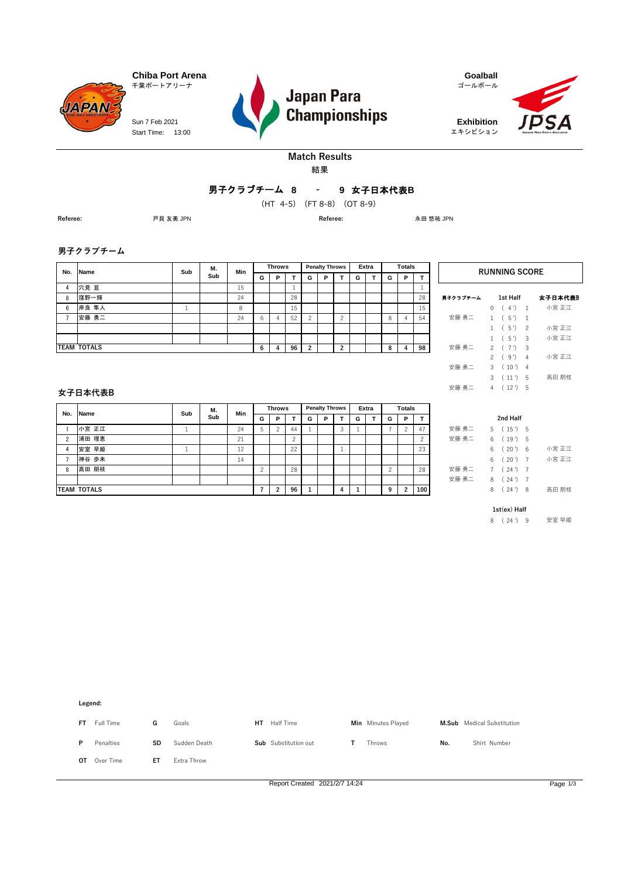Start Time: 13:00 Sun 7 Feb 2021





エキシビション



#### 結果 **Match Results**

### **8 9** 女子日本代表**B -** 男子クラブチーム

**(HT 4 5 ) -** (HT 4-5)(FT 8-8)(OT 8-9)

**Referee:** 戸貝 友美 JPN **Referee:** 永田 悠祐 JPN

**男子クラブチーム**

**JAPAN** 

| No. | <b>Name</b>        | Sub | М.  | Min      |   | <b>Throws</b> |    |   | <b>Penalty Throws</b> |   |   | Extra |   | <b>Totals</b> |    |          | <b>RUNNING SC</b>         |
|-----|--------------------|-----|-----|----------|---|---------------|----|---|-----------------------|---|---|-------|---|---------------|----|----------|---------------------------|
|     |                    |     | Sub |          | G | P             |    | G | P                     |   | G |       | G | P             |    |          |                           |
| 4   | 穴見 亘               |     |     | 15       |   |               |    |   |                       |   |   |       |   |               |    |          |                           |
| 8   | 窪野一輝               |     |     | 24       |   |               | 28 |   |                       |   |   |       |   |               | 28 | 男子クラブチーム | 1st Half                  |
| 6   | 岸良 隼人              |     |     | $\Omega$ |   |               | 15 |   |                       |   |   |       |   |               | 15 |          | 4')<br>$\blacksquare$     |
|     | 安藤 勇二              |     |     | 24       | 6 |               | 52 |   |                       |   |   |       | 8 |               | 54 | 安藤 勇二    | $(5')$ 1                  |
|     |                    |     |     |          |   |               |    |   |                       |   |   |       |   |               |    |          | $5'$ ) 2                  |
|     |                    |     |     |          |   |               |    |   |                       |   |   |       |   |               |    |          | $5')$ 3                   |
|     | <b>TEAM TOTALS</b> |     |     |          | 6 | 4             | 96 | 2 |                       | ົ |   |       | 8 |               | 98 | 安藤 勇二    | $(7')$ 3<br>$\mathcal{D}$ |

| <b>RUNNING SCORE</b> |               |          |                          |         |  |  |  |  |  |  |  |  |  |
|----------------------|---------------|----------|--------------------------|---------|--|--|--|--|--|--|--|--|--|
| 男子クラブチーム             |               | 1st Half |                          | 女子日本代表B |  |  |  |  |  |  |  |  |  |
|                      | 0             | (4')     | 1                        | 小宮 正江   |  |  |  |  |  |  |  |  |  |
| 安藤 勇二                | $1 \quad$     | (5')     | $\mathbf{1}$             |         |  |  |  |  |  |  |  |  |  |
|                      | 1             | (5')     | $\overline{\phantom{a}}$ | 小宮 正江   |  |  |  |  |  |  |  |  |  |
|                      | 1             | (5')     | 3                        | 小宮 正江   |  |  |  |  |  |  |  |  |  |
| 安藤 勇二                |               | 2(7')    | 3                        |         |  |  |  |  |  |  |  |  |  |
|                      | $\mathcal{P}$ | (9)      | 4                        | 小宮 正江   |  |  |  |  |  |  |  |  |  |
| 安藤 勇二                | 3             | (10')    | 4                        |         |  |  |  |  |  |  |  |  |  |
|                      | 3             | (11')    | 5                        | 高田 朋枝   |  |  |  |  |  |  |  |  |  |
| 安藤 勇二                | 4             | (12')    | 5                        |         |  |  |  |  |  |  |  |  |  |

#### **女子日本代表B**

| No.           | Name               | Sub | М.  | Min |   | <b>Throws</b>  |    |   | <b>Penalty Throws</b> |   |   | Extra |   | <b>Totals</b>  |        |       |    |             |     |
|---------------|--------------------|-----|-----|-----|---|----------------|----|---|-----------------------|---|---|-------|---|----------------|--------|-------|----|-------------|-----|
|               |                    |     | Sub |     | G | P              |    | G | P                     |   | G |       | G | P              |        |       |    | 2nd Half    |     |
|               | 小宮 正江              |     |     | 24  |   | $\overline{c}$ | 44 |   |                       | 3 |   |       |   |                | 47     | 安藤 勇二 |    | $(15')$ 5   |     |
| $\mathcal{P}$ | 浦田 理恵              |     |     | 21  |   |                |    |   |                       |   |   |       |   |                | $\sim$ | 安藤 勇二 |    | (19')       | - 5 |
|               | 安室 早姫              |     |     | 12  |   |                | 22 |   |                       |   |   |       |   |                | 23     |       |    | $20')$ 6    |     |
|               | 神谷 歩未              |     |     | 14  |   |                |    |   |                       |   |   |       |   |                |        |       | 6. | $(20')$ 7   |     |
| 8             | 高田 朋枝              |     |     |     |   |                | 28 |   |                       |   |   |       |   |                | 28     | 安藤 勇二 |    | $(24)$ 7    |     |
|               |                    |     |     |     |   |                |    |   |                       |   |   |       |   |                |        | 安藤 勇二 | 8. | $(24') - 7$ |     |
|               | <b>TEAM TOTALS</b> |     |     |     |   | $\overline{2}$ | 96 |   |                       | 4 |   |       | 9 | $\overline{2}$ | 100    |       | 8  | $24')$ 8    |     |

| 2nd Half |  |                |  |       |  |  |  |  |  |  |  |  |  |
|----------|--|----------------|--|-------|--|--|--|--|--|--|--|--|--|
| 安藤 勇二    |  | 5(15')5        |  |       |  |  |  |  |  |  |  |  |  |
| 安藤 勇二    |  | 6(19')5        |  |       |  |  |  |  |  |  |  |  |  |
|          |  | 6(20')6        |  | 小宮 正江 |  |  |  |  |  |  |  |  |  |
|          |  | $6(20')$ 7     |  | 小宮 正江 |  |  |  |  |  |  |  |  |  |
| 安藤 勇二    |  | $7(24')$ 7     |  |       |  |  |  |  |  |  |  |  |  |
| 安藤 勇二    |  | $8(24')$ 7     |  |       |  |  |  |  |  |  |  |  |  |
|          |  | 8(24)8         |  | 高田 朋枝 |  |  |  |  |  |  |  |  |  |
|          |  | $1st(ex)$ Half |  |       |  |  |  |  |  |  |  |  |  |

8 ( 24 ') 9 安室 早姫



Report Created 2021/2/7 14:24